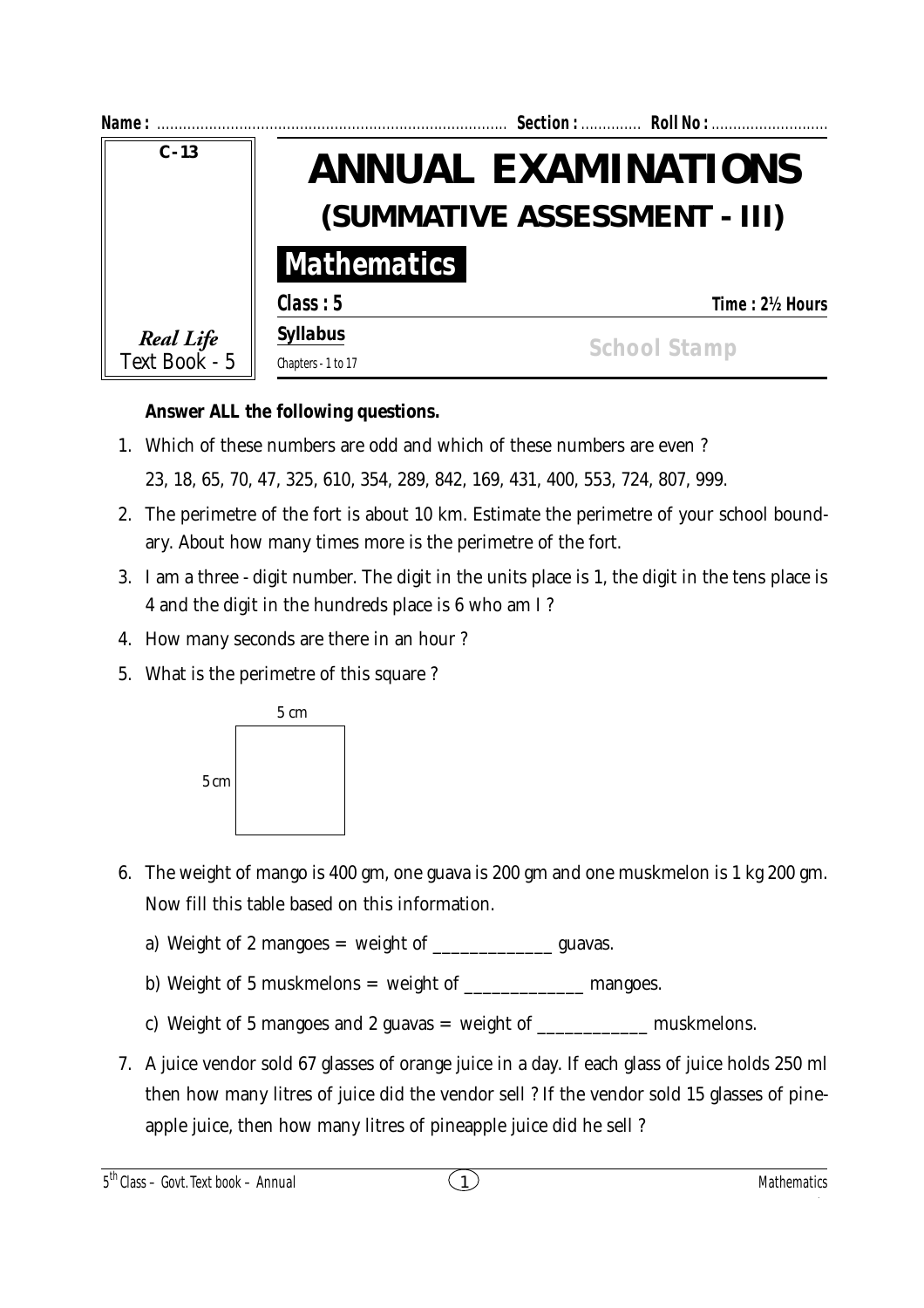| Name:                      |                              | Section:  Roll No :        |
|----------------------------|------------------------------|----------------------------|
| $C - 13$                   |                              | <b>ANNUAL EXAMINATIONS</b> |
|                            | (SUMMATIVE ASSESSMENT - III) |                            |
|                            | <b>Mathematics</b>           |                            |
|                            | Class: 5                     | Time: 2½ Hours             |
| Real Life<br>Text Book - 5 | <b>Syllabus</b>              | <b>School Stamp</b>        |
|                            | Chapters - 1 to 17           |                            |

## **Answer ALL the following questions.**

1. Which of these numbers are odd and which of these numbers are even ?

23, 18, 65, 70, 47, 325, 610, 354, 289, 842, 169, 431, 400, 553, 724, 807, 999.

- 2. The perimetre of the fort is about 10 km. Estimate the perimetre of your school boundary. About how many times more is the perimetre of the fort.
- 3. I am a three digit number. The digit in the units place is 1, the digit in the tens place is 4 and the digit in the hundreds place is 6 who am I ?
- 4. How many seconds are there in an hour ?
- 5. What is the perimetre of this square ?



- 6. The weight of mango is 400 gm, one guava is 200 gm and one muskmelon is 1 kg 200 gm. Now fill this table based on this information.
	- a) Weight of 2 mangoes  $=$  weight of  $\qquad \qquad$  guavas.
	- b) Weight of 5 muskmelons  $=$  weight of  $\sqrt{ }$  mangoes.
	- c) Weight of 5 mangoes and 2 guavas = weight of  $\frac{1}{2}$  muskmelons.
- 7. A juice vendor sold 67 glasses of orange juice in a day. If each glass of juice holds 250 ml then how many litres of juice did the vendor sell ? If the vendor sold 15 glasses of pineapple juice, then how many litres of pineapple juice did he sell ?